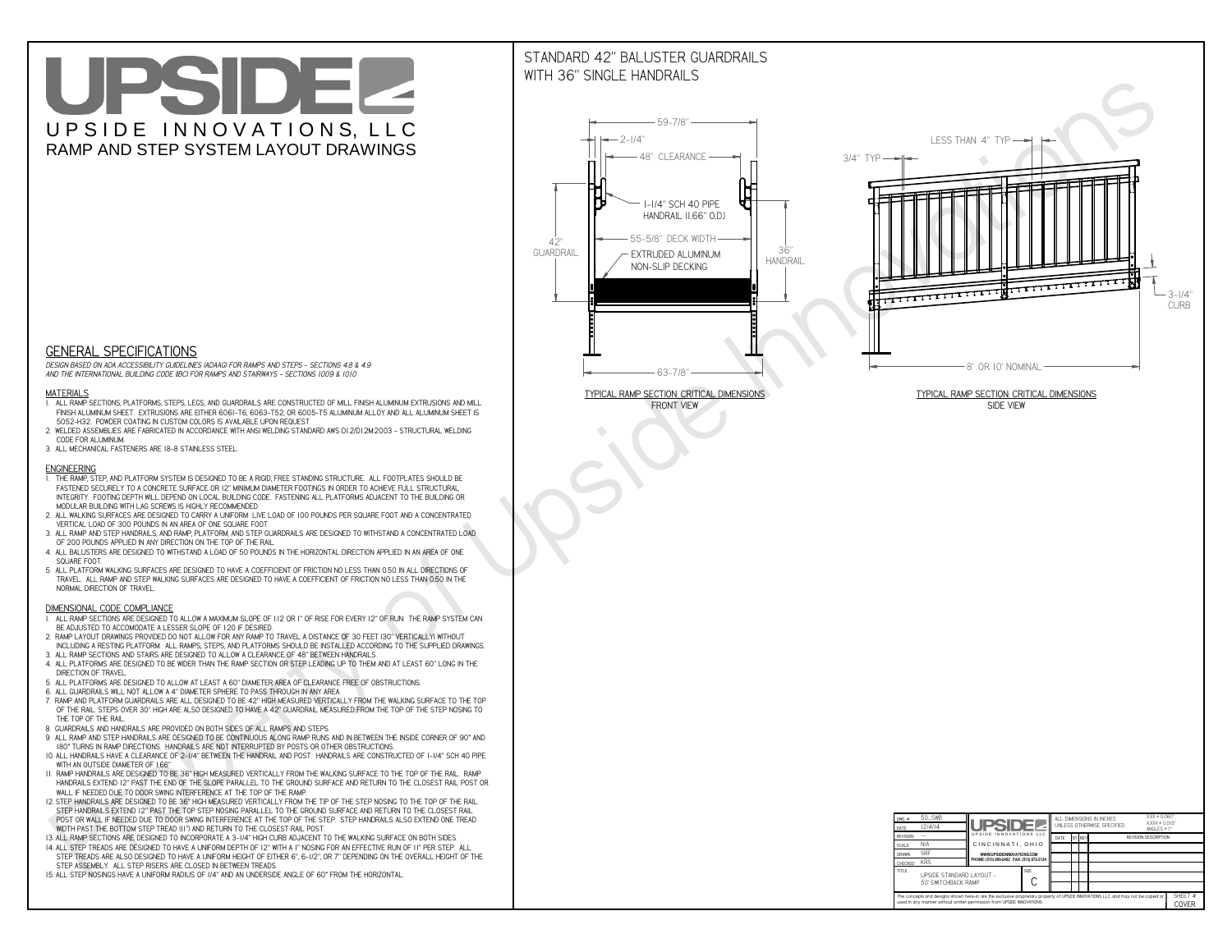# UPSIDEL UPSIDE INNOVATIONS, LLC RAMP AND STEP SYSTEM LAYOUT DRAWINGS

## STANDARD 42" BALUSTER GUARDRAILSWITH 36" SINGLE HANDRAILS

**FRONT VIEW**





**GENERAL SPECIFICATIONS**

 *DESIGN BASED ON ADA ACCESSIBILITY GUIDELINES (ADAAG) FOR RAMPS AND STEPS - SECTIONS 4.8 & 4.9AND THE INTERNATIONAL BUILDING CODE (IBC) FOR RAMPS AND STAIRWAYS - SECTIONS 1009 & 1010*

#### **MATERIALS**

- **1. ALL RAMP SECTIONS, PLATFORMS, STEPS, LEGS, AND GUARDRAILS ARE CONSTRUCTED OF MILL FINISH ALUMINUM EXTRUSIONS AND MILL FINISH ALUMINUM SHEET. EXTRUSIONS ARE EITHER 6061-T6, 6063-T52, OR 6005-T5 ALUMINUM ALLOY AND ALL ALUMINUM SHEET IS 5052-H32. POWDER COATING IN CUSTOM COLORS IS AVAILABLE UPON REQUEST.**
- **2. WELDED ASSEMBLIES ARE FABRICATED IN ACCORDANCE WITH ANSI WELDING STANDARD AWS D1.2/D1.2M:2003 STRUCTURAL WELDING CODE FOR ALUMINUM.**
- **3. ALL MECHANICAL FASTENERS ARE 18-8 STAINLESS STEEL.**

#### **ENGINEERING**

- **1. THE RAMP, STEP, AND PLATFORM SYSTEM IS DESIGNED TO BE A RIGID, FREE STANDING STRUCTURE. ALL FOOTPLATES SHOULD BE FASTENED SECURELY TO A CONCRETE SURFACE OR 12" MINIMUM DIAMETER FOOTINGS IN ORDER TO ACHIEVE FULL STRUCTURAL INTEGRITY. FOOTING DEPTH WILL DEPEND ON LOCAL BUILDING CODE. FASTENING ALL PLATFORMS ADJACENT TO THE BUILDING OR MODULAR BUILDING WITH LAG SCREWS IS HIGHLY RECOMMENDED.**
- **2. ALL WALKING SURFACES ARE DESIGNED TO CARRY A UNIFORM LIVE LOAD OF 100 POUNDS PER SQUARE FOOT AND A CONCENTRATED VERTICAL LOAD OF 300 POUNDS IN AN AREA OF ONE SQUARE FOOT.**
- **3. ALL RAMP AND STEP HANDRAILS, AND RAMP, PLATFORM, AND STEP GUARDRAILS ARE DESIGNED TO WITHSTAND A CONCENTRATED LOAD OF 200 POUNDS APPLIED IN ANY DIRECTION ON THE TOP OF THE RAIL.**
- **4. ALL BALUSTERS ARE DESIGNED TO WITHSTAND A LOAD OF 50 POUNDS IN THE HORIZONTAL DIRECTION APPLIED IN AN AREA OF ONE SQUARE FOOT.**
- **5. ALL PLATFORM WALKING SURFACES ARE DESIGNED TO HAVE A COEFFICIENT OF FRICTION NO LESS THAN 0.50 IN ALL DIRECTIONS OF TRAVEL. ALL RAMP AND STEP WALKING SURFACES ARE DESIGNED TO HAVE A COEFFICIENT OF FRICTION NO LESS THAN 0.50 IN THE NORMAL DIRECTION OF TRAVEL.**

| $DWG.$ #<br>DATE                                                                                                                                                                                            | 50_SWB<br>12/4/14                               | <b>UPSIDEZ</b>                            |  | ALL DIMENSIONS IN INCHES<br>UNLESS OTHERWISE SPECIFIED |        |  |  | XXX ± 0.060"<br>$XXX \pm 0.015$ "<br>ANGLES $\pm$ 1° |                         |
|-------------------------------------------------------------------------------------------------------------------------------------------------------------------------------------------------------------|-------------------------------------------------|-------------------------------------------|--|--------------------------------------------------------|--------|--|--|------------------------------------------------------|-------------------------|
| <b>REVISION</b>                                                                                                                                                                                             |                                                 | UPSIDE INNOVATIONS LLC                    |  | DATE                                                   | BY REV |  |  | <b>REVISION DESCRIPTION</b>                          |                         |
| <b>SCALE</b>                                                                                                                                                                                                | N/A                                             | CINCINNATI, OHIO                          |  |                                                        |        |  |  |                                                      |                         |
| <b>DRAWN</b>                                                                                                                                                                                                | <b>SRF</b>                                      | WWW.UPSIDEINNOVATIONS.COM                 |  |                                                        |        |  |  |                                                      |                         |
| CHECKED                                                                                                                                                                                                     | <b>KRS</b>                                      | PHONE: (513) 889-2492 FAX: (513) 672-2124 |  |                                                        |        |  |  |                                                      |                         |
| <b>TITLE</b>                                                                                                                                                                                                | UPSIDE STANDARD LAYOUT -<br>50' SWITCHBACK RAMP | <b>SIZE</b>                               |  |                                                        |        |  |  |                                                      |                         |
| The concepts and designs shown here-in are the exclusive proprietary property of UPSIDE INNOVATIONS LLC. and may not be copied or<br>used in any manner without written permission from UPSIDE INNOVATIONS. |                                                 |                                           |  |                                                        |        |  |  |                                                      | SHEET #<br><b>COVER</b> |

### **DIMENSIONAL CODE COMPLIANCE**

- **1. ALL RAMP SECTIONS ARE DESIGNED TO ALLOW A MAXIMUM SLOPE OF 1:12 OR 1" OF RISE FOR EVERY 12" OF RUN. THE RAMP SYSTEM CAN BE ADJUSTED TO ACCOMODATE A LESSER SLOPE OF 1:20 IF DESIRED.**
- **2. RAMP LAYOUT DRAWINGS PROVIDED DO NOT ALLOW FOR ANY RAMP TO TRAVEL A DISTANCE OF 30 FEET (30" VERTICALLY) WITHOUT INCLUDING A RESTING PLATFORM. ALL RAMPS, STEPS, AND PLATFORMS SHOULD BE INSTALLED ACCORDING TO THE SUPPLIED DRAWINGS.**
- **3. ALL RAMP SECTIONS AND STAIRS ARE DESIGNED TO ALLOW A CLEARANCE OF 48" BETWEEN HANDRAILS.**
- **4. ALL PLATFORMS ARE DESIGNED TO BE WIDER THAN THE RAMP SECTION OR STEP LEADING UP TO THEM AND AT LEAST 60" LONG IN THE DIRECTION OF TRAVEL.**
- **5. ALL PLATFORMS ARE DESIGNED TO ALLOW AT LEAST A 60" DIAMETER AREA OF CLEARANCE FREE OF OBSTRUCTIONS.**
- **6. ALL GUARDRAILS WILL NOT ALLOW A 4" DIAMETER SPHERE TO PASS THROUGH IN ANY AREA.**
- **7. RAMP AND PLATFORM GUARDRAILS ARE ALL DESIGNED TO BE 42" HIGH MEASURED VERTICALLY FROM THE WALKING SURFACE TO THE TOP OF THE RAIL. STEPS OVER 30" HIGH ARE ALSO DESIGNED TO HAVE A 42" GUARDRAIL MEASURED FROM THE TOP OF THE STEP NOSING TO THE TOP OF THE RAIL.**
- **8. GUARDRAILS AND HANDRAILS ARE PROVIDED ON BOTH SIDES OF ALL RAMPS AND STEPS.**
- **9. ALL RAMP AND STEP HANDRAILS ARE DESIGNED TO BE CONTINUOUS ALONG RAMP RUNS AND IN BETWEEN THE INSIDE CORNER OF 90° AND 180° TURNS IN RAMP DIRECTIONS. HANDRAILS ARE NOT INTERRUPTED BY POSTS OR OTHER OBSTRUCTIONS.**
- **10. ALL HANDRAILS HAVE A CLEARANCE OF 2-1/4" BETWEEN THE HANDRAIL AND POST. HANDRAILS ARE CONSTRUCTED OF 1-1/4" SCH 40 PIPE WITH AN OUTSIDE DIAMETER OF 1.66"**
- **11. RAMP HANDRAILS ARE DESIGNED TO BE 36" HIGH MEASURED VERTICALLY FROM THE WALKING SURFACE TO THE TOP OF THE RAIL. RAMP HANDRAILS EXTEND 12" PAST THE END OF THE SLOPE PARALLEL TO THE GROUND SURFACE AND RETURN TO THE CLOSEST RAIL POST OR WALL IF NEEDED DUE TO DOOR SWING INTERFERENCE AT THE TOP OF THE RAMP.**
- **12. STEP HANDRAILS ARE DESIGNED TO BE 36" HIGH MEASURED VERTICALLY FROM THE TIP OF THE STEP NOSING TO THE TOP OF THE RAIL. STEP HANDRAILS EXTEND 12" PAST THE TOP STEP NOSING PARALLEL TO THE GROUND SURFACE AND RETURN TO THE CLOSEST RAIL POST OR WALL IF NEEDED DUE TO DOOR SWING INTERFERENCE AT THE TOP OF THE STEP. STEP HANDRAILS ALSO EXTEND ONE TREAD**
- **WIDTH PAST THE BOTTOM STEP TREAD (11") AND RETURN TO THE CLOSEST RAIL POST.**
- **13. ALL RAMP SECTIONS ARE DESIGNED TO INCORPORATE A 3-1/4" HIGH CURB ADJACENT TO THE WALKING SURFACE ON BOTH SIDES.**
- **14. ALL STEP TREADS ARE DESIGNED TO HAVE A UNIFORM DEPTH OF 12" WITH A 1" NOSING FOR AN EFFECTIVE RUN OF 11" PER STEP. ALL STEP TREADS ARE ALSO DESIGNED TO HAVE A UNIFORM HEIGHT OF EITHER 6", 6-1/2", OR 7" DEPENDING ON THE OVERALL HEIGHT OF THE STEP ASSEMBLY. ALL STEP RISERS ARE CLOSED IN BETWEEN TREADS.**
- **15. ALL STEP NOSINGS HAVE A UNIFORM RADIUS OF 1/4" AND AN UNDERSIDE ANGLE OF 60° FROM THE HORIZONTAL.**